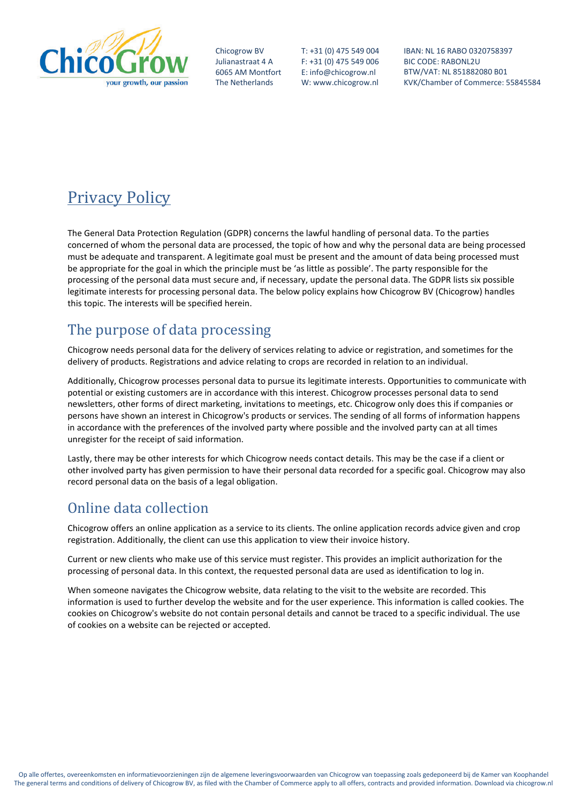

Chicogrow BV Julianastraat 4 A 6065 AM Montfort The Netherlands

T: +31 (0) 475 549 004 F: +31 (0) 475 549 006 E: info@chicogrow.nl W: www.chicogrow.nl IBAN: NL 16 RABO 0320758397 BIC CODE: RABONL2U BTW/VAT: NL 851882080 B01 KVK/Chamber of Commerce: 55845584

# Privacy Policy

The General Data Protection Regulation (GDPR) concerns the lawful handling of personal data. To the parties concerned of whom the personal data are processed, the topic of how and why the personal data are being processed must be adequate and transparent. A legitimate goal must be present and the amount of data being processed must be appropriate for the goal in which the principle must be 'as little as possible'. The party responsible for the processing of the personal data must secure and, if necessary, update the personal data. The GDPR lists six possible legitimate interests for processing personal data. The below policy explains how Chicogrow BV (Chicogrow) handles this topic. The interests will be specified herein.

#### The purpose of data processing

Chicogrow needs personal data for the delivery of services relating to advice or registration, and sometimes for the delivery of products. Registrations and advice relating to crops are recorded in relation to an individual.

Additionally, Chicogrow processes personal data to pursue its legitimate interests. Opportunities to communicate with potential or existing customers are in accordance with this interest. Chicogrow processes personal data to send newsletters, other forms of direct marketing, invitations to meetings, etc. Chicogrow only does this if companies or persons have shown an interest in Chicogrow's products or services. The sending of all forms of information happens in accordance with the preferences of the involved party where possible and the involved party can at all times unregister for the receipt of said information.

Lastly, there may be other interests for which Chicogrow needs contact details. This may be the case if a client or other involved party has given permission to have their personal data recorded for a specific goal. Chicogrow may also record personal data on the basis of a legal obligation.

## Online data collection

Chicogrow offers an online application as a service to its clients. The online application records advice given and crop registration. Additionally, the client can use this application to view their invoice history.

Current or new clients who make use of this service must register. This provides an implicit authorization for the processing of personal data. In this context, the requested personal data are used as identification to log in.

When someone navigates the Chicogrow website, data relating to the visit to the website are recorded. This information is used to further develop the website and for the user experience. This information is called cookies. The cookies on Chicogrow's website do not contain personal details and cannot be traced to a specific individual. The use of cookies on a website can be rejected or accepted.